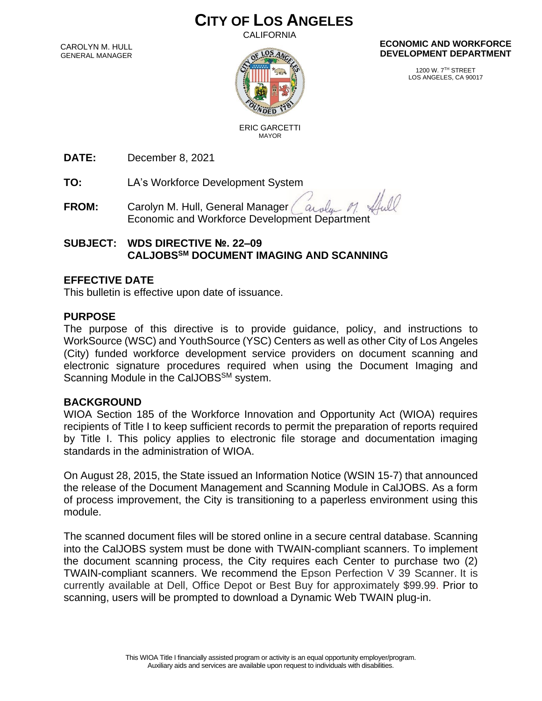# **CITY OF LOS ANGELES**

CALIFORNIA

CAROLYN M. HULL GENERAL MANAGER



#### **ECONOMIC AND WORKFORCE DEVELOPMENT DEPARTMENT**

1200 W. 7TH STREET LOS ANGELES, CA 90017

 ERIC GARCETTI MAYOR

**DATE:** December 8, 2021

**TO:** LA's Workforce Development System

**FROM:** Carolyn M. Hull, General Manager augh Economic and Workforce Development Department

## **SUBJECT: WDS DIRECTIVE №. 22–09 CALJOBSSM DOCUMENT IMAGING AND SCANNING**

### **EFFECTIVE DATE**

This bulletin is effective upon date of issuance.

#### **PURPOSE**

The purpose of this directive is to provide guidance, policy, and instructions to WorkSource (WSC) and YouthSource (YSC) Centers as well as other City of Los Angeles (City) funded workforce development service providers on document scanning and electronic signature procedures required when using the Document Imaging and Scanning Module in the CalJOBS<sup>SM</sup> system.

#### **BACKGROUND**

WIOA Section 185 of the Workforce Innovation and Opportunity Act (WIOA) requires recipients of Title I to keep sufficient records to permit the preparation of reports required by Title I. This policy applies to electronic file storage and documentation imaging standards in the administration of WIOA.

On August 28, 2015, the State issued an Information Notice (WSIN 15-7) that announced the release of the Document Management and Scanning Module in CalJOBS. As a form of process improvement, the City is transitioning to a paperless environment using this module.

The scanned document files will be stored online in a secure central database. Scanning into the CalJOBS system must be done with TWAIN-compliant scanners. To implement the document scanning process, the City requires each Center to purchase two (2) TWAIN-compliant scanners. We recommend the Epson Perfection V 39 Scanner. It is currently available at Dell, Office Depot or Best Buy for approximately \$99.99. Prior to scanning, users will be prompted to download a Dynamic Web TWAIN plug-in.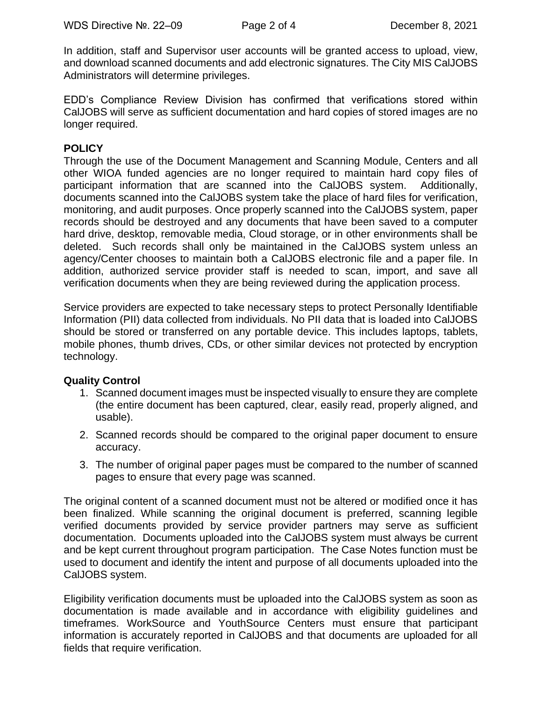In addition, staff and Supervisor user accounts will be granted access to upload, view, and download scanned documents and add electronic signatures. The City MIS CalJOBS Administrators will determine privileges.

EDD's Compliance Review Division has confirmed that verifications stored within CalJOBS will serve as sufficient documentation and hard copies of stored images are no longer required.

### **POLICY**

Through the use of the Document Management and Scanning Module, Centers and all other WIOA funded agencies are no longer required to maintain hard copy files of participant information that are scanned into the CalJOBS system. Additionally, documents scanned into the CalJOBS system take the place of hard files for verification, monitoring, and audit purposes. Once properly scanned into the CalJOBS system, paper records should be destroyed and any documents that have been saved to a computer hard drive, desktop, removable media, Cloud storage, or in other environments shall be deleted. Such records shall only be maintained in the CalJOBS system unless an agency/Center chooses to maintain both a CalJOBS electronic file and a paper file. In addition, authorized service provider staff is needed to scan, import, and save all verification documents when they are being reviewed during the application process.

Service providers are expected to take necessary steps to protect Personally Identifiable Information (PII) data collected from individuals. No PII data that is loaded into CalJOBS should be stored or transferred on any portable device. This includes laptops, tablets, mobile phones, thumb drives, CDs, or other similar devices not protected by encryption technology.

#### **Quality Control**

- 1. Scanned document images must be inspected visually to ensure they are complete (the entire document has been captured, clear, easily read, properly aligned, and usable).
- 2. Scanned records should be compared to the original paper document to ensure accuracy.
- 3. The number of original paper pages must be compared to the number of scanned pages to ensure that every page was scanned.

The original content of a scanned document must not be altered or modified once it has been finalized. While scanning the original document is preferred, scanning legible verified documents provided by service provider partners may serve as sufficient documentation. Documents uploaded into the CalJOBS system must always be current and be kept current throughout program participation. The Case Notes function must be used to document and identify the intent and purpose of all documents uploaded into the CalJOBS system.

Eligibility verification documents must be uploaded into the CalJOBS system as soon as documentation is made available and in accordance with eligibility guidelines and timeframes. WorkSource and YouthSource Centers must ensure that participant information is accurately reported in CalJOBS and that documents are uploaded for all fields that require verification.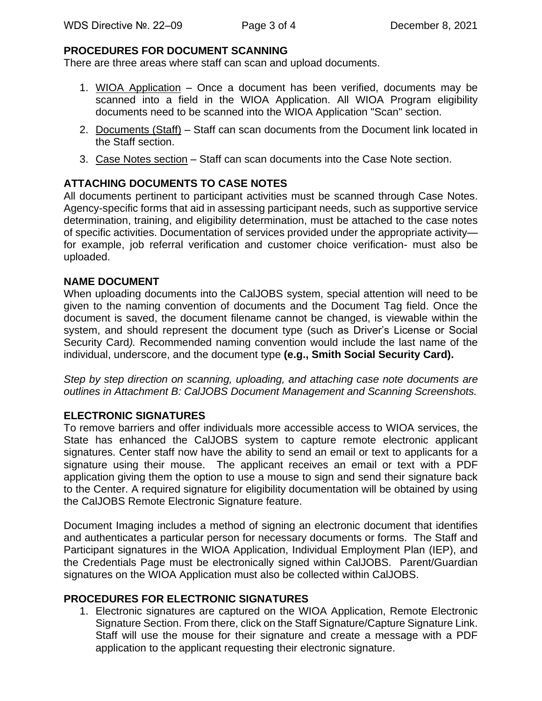#### **PROCEDURES FOR DOCUMENT SCANNING**

There are three areas where staff can scan and upload documents.

- 1. WIOA Application Once a document has been verified, documents may be scanned into a field in the WIOA Application. All WIOA Program eligibility documents need to be scanned into the WIOA Application "Scan" section.
- 2. Documents (Staff) Staff can scan documents from the Document link located in the Staff section.
- 3. Case Notes section Staff can scan documents into the Case Note section.

# **ATTACHING DOCUMENTS TO CASE NOTES**

All documents pertinent to participant activities must be scanned through Case Notes. Agency-specific forms that aid in assessing participant needs, such as supportive service determination, training, and eligibility determination, must be attached to the case notes of specific activities. Documentation of services provided under the appropriate activity for example, job referral verification and customer choice verification- must also be uploaded.

#### **NAME DOCUMENT**

When uploading documents into the CalJOBS system, special attention will need to be given to the naming convention of documents and the Document Tag field. Once the document is saved, the document filename cannot be changed, is viewable within the system, and should represent the document type (such as Driver's License or Social Security Card*).* Recommended naming convention would include the last name of the individual, underscore, and the document type **(e.g., Smith Social Security Card).**

*Step by step direction on scanning, uploading, and attaching case note documents are outlines in Attachment B: CalJOBS Document Management and Scanning Screenshots.*

#### **ELECTRONIC SIGNATURES**

To remove barriers and offer individuals more accessible access to WIOA services, the State has enhanced the CalJOBS system to capture remote electronic applicant signatures. Center staff now have the ability to send an email or text to applicants for a signature using their mouse. The applicant receives an email or text with a PDF application giving them the option to use a mouse to sign and send their signature back to the Center. A required signature for eligibility documentation will be obtained by using the CalJOBS Remote Electronic Signature feature.

Document Imaging includes a method of signing an electronic document that identifies and authenticates a particular person for necessary documents or forms. The Staff and Participant signatures in the WIOA Application, Individual Employment Plan (IEP), and the Credentials Page must be electronically signed within CalJOBS. Parent/Guardian signatures on the WIOA Application must also be collected within CalJOBS.

#### **PROCEDURES FOR ELECTRONIC SIGNATURES**

1. Electronic signatures are captured on the WIOA Application, Remote Electronic Signature Section. From there, click on the Staff Signature/Capture Signature Link. Staff will use the mouse for their signature and create a message with a PDF application to the applicant requesting their electronic signature.